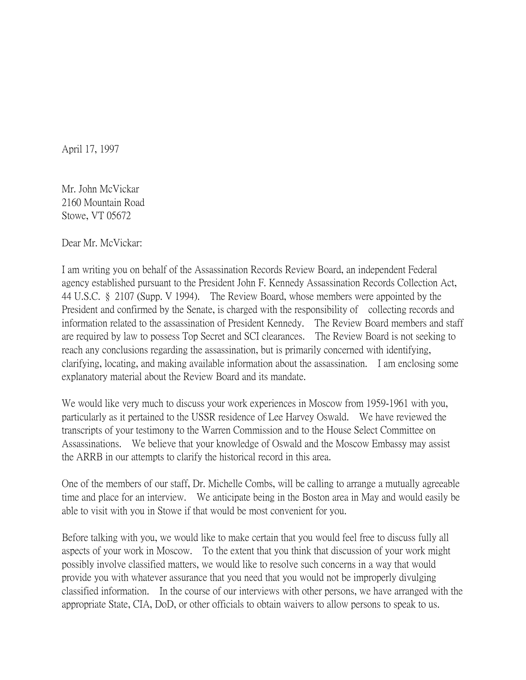April 17, 1997

Mr. John McVickar 2160 Mountain Road Stowe, VT 05672

Dear Mr. McVickar:

I am writing you on behalf of the Assassination Records Review Board, an independent Federal agency established pursuant to the President John F. Kennedy Assassination Records Collection Act, 44 U.S.C. § 2107 (Supp. V 1994). The Review Board, whose members were appointed by the President and confirmed by the Senate, is charged with the responsibility of collecting records and information related to the assassination of President Kennedy. The Review Board members and staff are required by law to possess Top Secret and SCI clearances. The Review Board is not seeking to reach any conclusions regarding the assassination, but is primarily concerned with identifying, clarifying, locating, and making available information about the assassination. I am enclosing some explanatory material about the Review Board and its mandate.

We would like very much to discuss your work experiences in Moscow from 1959-1961 with you, particularly as it pertained to the USSR residence of Lee Harvey Oswald. We have reviewed the transcripts of your testimony to the Warren Commission and to the House Select Committee on Assassinations. We believe that your knowledge of Oswald and the Moscow Embassy may assist the ARRB in our attempts to clarify the historical record in this area.

One of the members of our staff, Dr. Michelle Combs, will be calling to arrange a mutually agreeable time and place for an interview. We anticipate being in the Boston area in May and would easily be able to visit with you in Stowe if that would be most convenient for you.

Before talking with you, we would like to make certain that you would feel free to discuss fully all aspects of your work in Moscow. To the extent that you think that discussion of your work might possibly involve classified matters, we would like to resolve such concerns in a way that would provide you with whatever assurance that you need that you would not be improperly divulging classified information. In the course of our interviews with other persons, we have arranged with the appropriate State, CIA, DoD, or other officials to obtain waivers to allow persons to speak to us.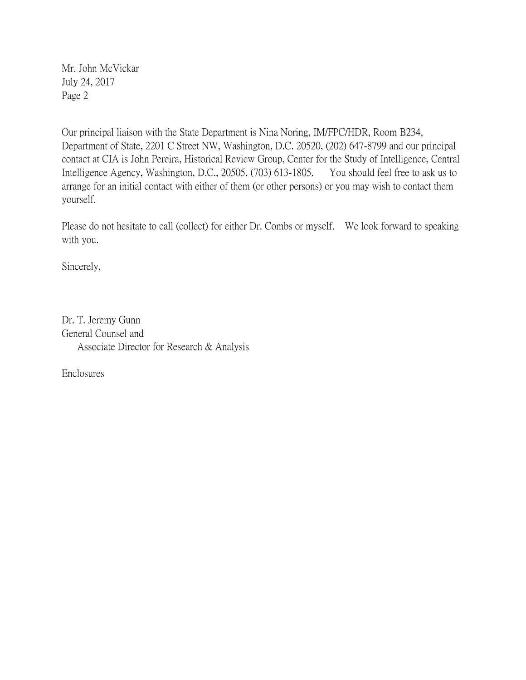Mr. John McVickar July 24, 2017 Page 2

Our principal liaison with the State Department is Nina Noring, IM/FPC/HDR, Room B234, Department of State, 2201 C Street NW, Washington, D.C. 20520, (202) 647-8799 and our principal contact at CIA is John Pereira, Historical Review Group, Center for the Study of Intelligence, Central Intelligence Agency, Washington, D.C., 20505, (703) 613-1805. You should feel free to ask us to arrange for an initial contact with either of them (or other persons) or you may wish to contact them yourself.

Please do not hesitate to call (collect) for either Dr. Combs or myself. We look forward to speaking with you.

Sincerely,

Dr. T. Jeremy Gunn General Counsel and Associate Director for Research & Analysis

Enclosures